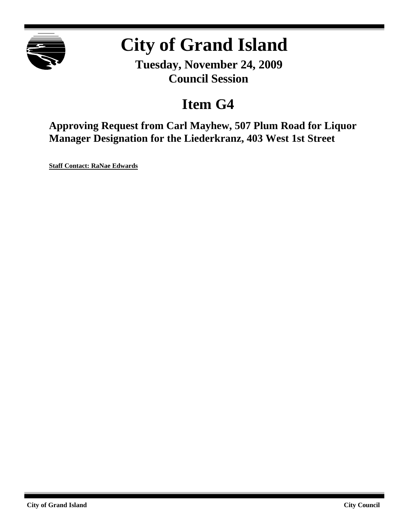

# **City of Grand Island**

**Tuesday, November 24, 2009 Council Session**

### **Item G4**

**Approving Request from Carl Mayhew, 507 Plum Road for Liquor Manager Designation for the Liederkranz, 403 West 1st Street**

**Staff Contact: RaNae Edwards**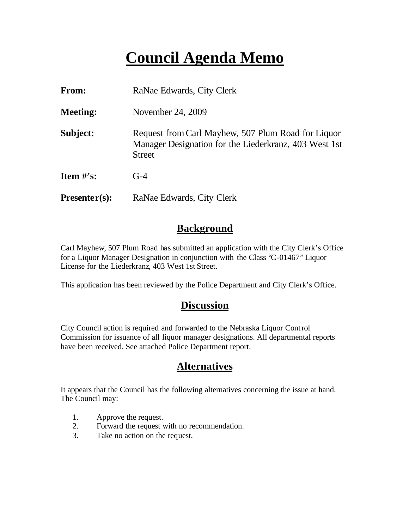## **Council Agenda Memo**

| From:           | RaNae Edwards, City Clerk                                                                                                    |
|-----------------|------------------------------------------------------------------------------------------------------------------------------|
| <b>Meeting:</b> | November 24, 2009                                                                                                            |
| Subject:        | Request from Carl Mayhew, 507 Plum Road for Liquor<br>Manager Designation for the Liederkranz, 403 West 1st<br><b>Street</b> |
| Item $\#$ 's:   | $G-4$                                                                                                                        |
| $Presenter(s):$ | RaNae Edwards, City Clerk                                                                                                    |

#### **Background**

Carl Mayhew, 507 Plum Road has submitted an application with the City Clerk's Office for a Liquor Manager Designation in conjunction with the Class "C-01467" Liquor License for the Liederkranz, 403 West 1st Street.

This application has been reviewed by the Police Department and City Clerk's Office.

#### **Discussion**

City Council action is required and forwarded to the Nebraska Liquor Control Commission for issuance of all liquor manager designations. All departmental reports have been received. See attached Police Department report.

#### **Alternatives**

It appears that the Council has the following alternatives concerning the issue at hand. The Council may:

- 1. Approve the request.
- 2. Forward the request with no recommendation.
- 3. Take no action on the request.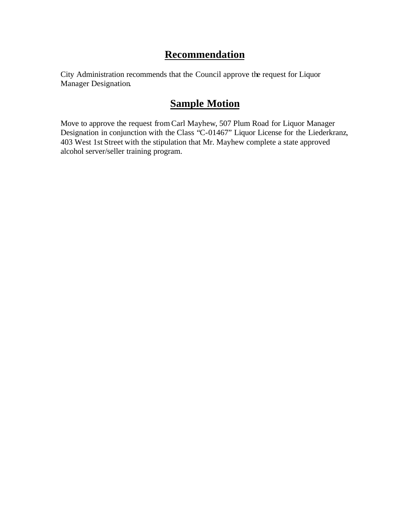#### **Recommendation**

City Administration recommends that the Council approve the request for Liquor Manager Designation.

### **Sample Motion**

Move to approve the request fromCarl Mayhew, 507 Plum Road for Liquor Manager Designation in conjunction with the Class "C-01467" Liquor License for the Liederkranz, 403 West 1st Street with the stipulation that Mr. Mayhew complete a state approved alcohol server/seller training program.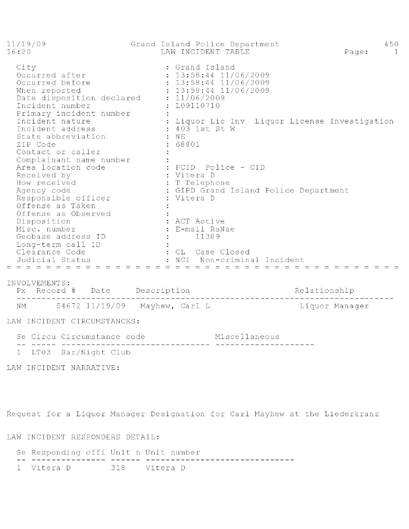| 11/19/09<br>16:20                                                                                                                                                                                                                   | Grand Island Police Department<br>LAW INCIDENT TABLE<br>Page:                                                                                                                                                       | 450<br>$\overline{1}$ |
|-------------------------------------------------------------------------------------------------------------------------------------------------------------------------------------------------------------------------------------|---------------------------------------------------------------------------------------------------------------------------------------------------------------------------------------------------------------------|-----------------------|
| City<br>Occurred after<br>Occurred before<br>When reported<br>Date disposition declared<br>Incident number<br>Primary incident number<br>Incident nature<br>Incident address<br>State abbreviation<br>ZIP Code<br>Contact or caller | : Grand Island<br>$: 13:58:44$ 11/06/2009<br>$: 13:58:44$ 11/06/2009<br>$: 13:58:44$ 11/06/2009<br>: 11/06/2009<br>: L09110710<br>: Liquor Lic Inv Liquor License Investigation<br>: 403 1st St W<br>:NE<br>: 68801 |                       |
| Complainant name number<br>Area location code<br>Received by<br>How received<br>Agency code<br>Responsible officer<br>Offense as Taken<br>Offense as Observed<br>Disposition<br>Misc. number                                        | : PCID  Police - CID<br>: Vitera D<br>: T Telephone<br>: GIPD Grand Island Police Department<br>: Vitera D<br>: ACT Active<br>: E-mail RaNae                                                                        |                       |
| Geobase address ID<br>Long-term call ID<br>Clearance Code<br>Judicial Status<br>$=$ $=$ $=$                                                                                                                                         | 11389<br>: CL Case Closed<br>NCT.<br>- Non-criminal Incident                                                                                                                                                        |                       |
|                                                                                                                                                                                                                                     |                                                                                                                                                                                                                     |                       |

INVOLVEMENTS:

NM 54672 11/19/09 Mayhew, Carl L Liquor Manager

LAW INCIDENT CIRCUMSTANCES:

Se Circu Circumstance code Miscellaneous 1 LT03 Bar/Night Club

LAW INCIDENT NARRATIVE:

Request for a Liquor Manager Designation for Carl Mayhew at the Liederkranz

LAW INCIDENT RESPONDERS DETAIL:

| Se Responding offi Unit n Unit number |  |  |  |
|---------------------------------------|--|--|--|
| __ _________________                  |  |  |  |
| 1 Vitera D 318 Vitera D               |  |  |  |